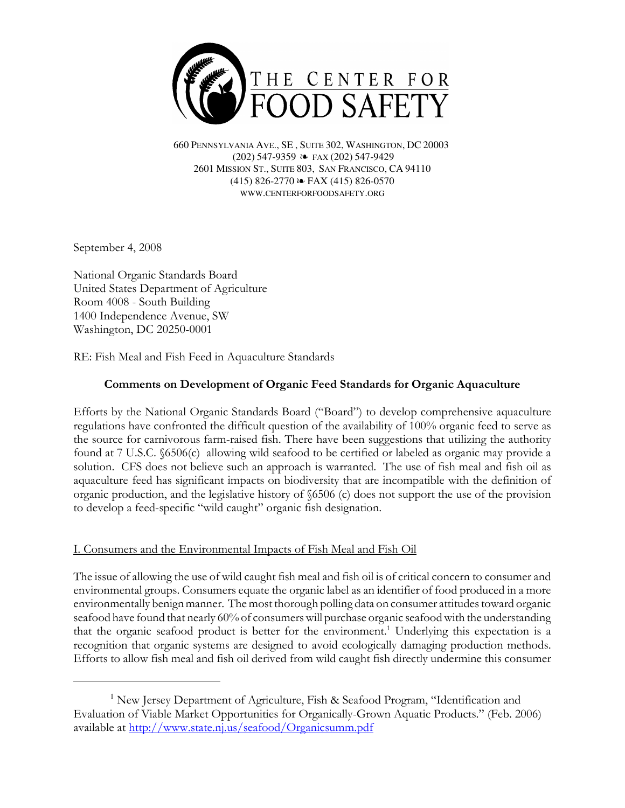

660 PENNSYLVANIA AVE., SE , SUITE 302, WASHINGTON, DC 20003 (202) 547-9359 ≥ FAX (202) 547-9429 2601 MISSION ST., SUITE 803, SAN FRANCISCO, CA 94110  $(415)$  826-2770  $\approx$  FAX (415) 826-0570 WWW.CENTERFORFOODSAFETY.ORG

September 4, 2008

National Organic Standards Board United States Department of Agriculture Room 4008 - South Building 1400 Independence Avenue, SW Washington, DC 20250-0001

RE: Fish Meal and Fish Feed in Aquaculture Standards

# Comments on Development of Organic Feed Standards for Organic Aquaculture

Efforts by the National Organic Standards Board ("Board") to develop comprehensive aquaculture regulations have confronted the difficult question of the availability of 100% organic feed to serve as the source for carnivorous farm-raised fish. There have been suggestions that utilizing the authority found at 7 U.S.C. §6506(c) allowing wild seafood to be certified or labeled as organic may provide a solution. CFS does not believe such an approach is warranted. The use of fish meal and fish oil as aquaculture feed has significant impacts on biodiversity that are incompatible with the definition of organic production, and the legislative history of §6506 (c) does not support the use of the provision to develop a feed-specific "wild caught" organic fish designation.

## I. Consumers and the Environmental Impacts of Fish Meal and Fish Oil

The issue of allowing the use of wild caught fish meal and fish oil is of critical concern to consumer and environmental groups. Consumers equate the organic label as an identifier of food produced in a more environmentally benign manner. The most thorough polling data on consumer attitudes toward organic seafood have found that nearly 60% of consumers will purchase organic seafood with the understanding that the organic seafood product is better for the environment.<sup>1</sup> Underlying this expectation is a recognition that organic systems are designed to avoid ecologically damaging production methods. Efforts to allow fish meal and fish oil derived from wild caught fish directly undermine this consumer

<sup>&</sup>lt;sup>1</sup> New Jersey Department of Agriculture, Fish & Seafood Program, "Identification and Evaluation of Viable Market Opportunities for Organically-Grown Aquatic Products." (Feb. 2006) available at http://www.state.nj.us/seafood/Organicsumm.pdf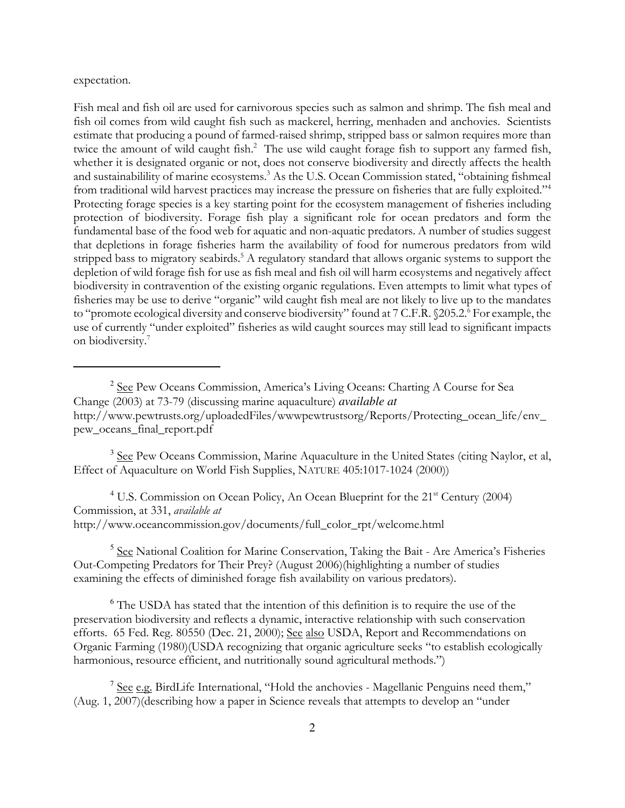expectation.

Fish meal and fish oil are used for carnivorous species such as salmon and shrimp. The fish meal and fish oil comes from wild caught fish such as mackerel, herring, menhaden and anchovies. Scientists estimate that producing a pound of farmed-raised shrimp, stripped bass or salmon requires more than twice the amount of wild caught fish.<sup>2</sup> The use wild caught forage fish to support any farmed fish, whether it is designated organic or not, does not conserve biodiversity and directly affects the health and sustainabilility of marine ecosystems.<sup>3</sup> As the U.S. Ocean Commission stated, "obtaining fishmeal from traditional wild harvest practices may increase the pressure on fisheries that are fully exploited."<sup>4</sup> Protecting forage species is a key starting point for the ecosystem management of fisheries including protection of biodiversity. Forage fish play a significant role for ocean predators and form the fundamental base of the food web for aquatic and non-aquatic predators. A number of studies suggest that depletions in forage fisheries harm the availability of food for numerous predators from wild stripped bass to migratory seabirds.<sup>5</sup> A regulatory standard that allows organic systems to support the depletion of wild forage fish for use as fish meal and fish oil will harm ecosystems and negatively affect biodiversity in contravention of the existing organic regulations. Even attempts to limit what types of fisheries may be use to derive "organic" wild caught fish meal are not likely to live up to the mandates to "promote ecological diversity and conserve biodiversity" found at 7 C.F.R. §205.2.<sup>6</sup> For example, the use of currently "under exploited" fisheries as wild caught sources may still lead to significant impacts on biodiversity.7

<sup>3</sup> See Pew Oceans Commission, Marine Aquaculture in the United States (citing Naylor, et al, Effect of Aquaculture on World Fish Supplies, NATURE 405:1017-1024 (2000))

 $4$  U.S. Commission on Ocean Policy, An Ocean Blueprint for the  $21<sup>st</sup>$  Century (2004) Commission, at 331, available at http://www.oceancommission.gov/documents/full\_color\_rpt/welcome.html

<sup>5</sup> See National Coalition for Marine Conservation, Taking the Bait - Are America's Fisheries Out-Competing Predators for Their Prey? (August 2006)(highlighting a number of studies examining the effects of diminished forage fish availability on various predators).

<sup>6</sup> The USDA has stated that the intention of this definition is to require the use of the preservation biodiversity and reflects a dynamic, interactive relationship with such conservation efforts. 65 Fed. Reg. 80550 (Dec. 21, 2000); See also USDA, Report and Recommendations on Organic Farming (1980)(USDA recognizing that organic agriculture seeks "to establish ecologically harmonious, resource efficient, and nutritionally sound agricultural methods.")

<sup>7</sup> See e.g. BirdLife International, "Hold the anchovies - Magellanic Penguins need them," (Aug. 1, 2007)(describing how a paper in Science reveals that attempts to develop an "under

<sup>&</sup>lt;sup>2</sup> See Pew Oceans Commission, America's Living Oceans: Charting A Course for Sea Change (2003) at 73-79 (discussing marine aquaculture) *available at* http://www.pewtrusts.org/uploadedFiles/wwwpewtrustsorg/Reports/Protecting\_ocean\_life/env\_ pew\_oceans\_final\_report.pdf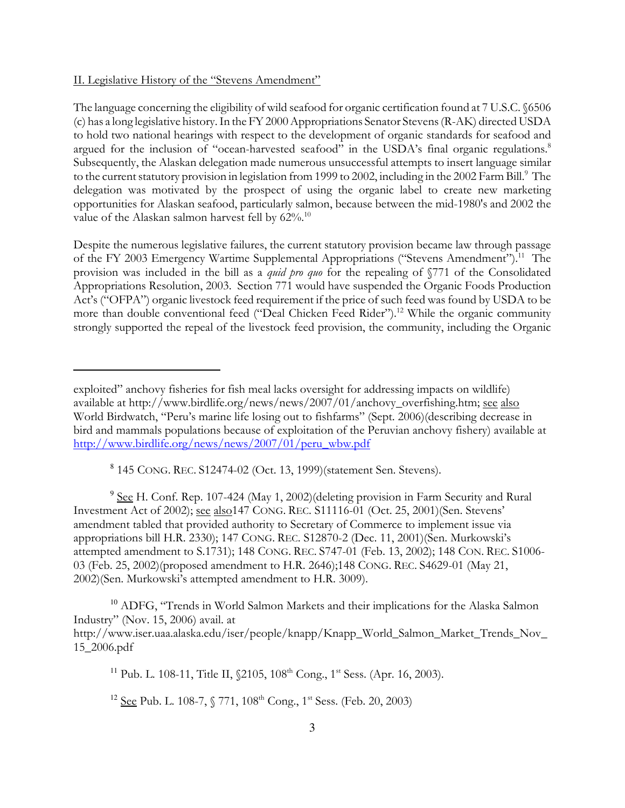### II. Legislative History of the "Stevens Amendment"

The language concerning the eligibility of wild seafood for organic certification found at 7 U.S.C. §6506 (c) has a long legislative history. In the FY 2000 Appropriations Senator Stevens (R-AK) directed USDA to hold two national hearings with respect to the development of organic standards for seafood and argued for the inclusion of "ocean-harvested seafood" in the USDA's final organic regulations.<sup>8</sup> Subsequently, the Alaskan delegation made numerous unsuccessful attempts to insert language similar to the current statutory provision in legislation from 1999 to 2002, including in the 2002 Farm Bill.<sup>9</sup> The delegation was motivated by the prospect of using the organic label to create new marketing opportunities for Alaskan seafood, particularly salmon, because between the mid-1980's and 2002 the value of the Alaskan salmon harvest fell by  $62\%$ .<sup>10</sup>

Despite the numerous legislative failures, the current statutory provision became law through passage of the FY 2003 Emergency Wartime Supplemental Appropriations ("Stevens Amendment").<sup>11</sup> The provision was included in the bill as a *quid pro quo* for the repealing of §771 of the Consolidated Appropriations Resolution, 2003. Section 771 would have suspended the Organic Foods Production Act's ("OFPA") organic livestock feed requirement if the price of such feed was found by USDA to be more than double conventional feed ("Deal Chicken Feed Rider").<sup>12</sup> While the organic community strongly supported the repeal of the livestock feed provision, the community, including the Organic

8 145 CONG. REC. S12474-02 (Oct. 13, 1999)(statement Sen. Stevens).

<sup>9</sup> See H. Conf. Rep. 107-424 (May 1, 2002)(deleting provision in Farm Security and Rural Investment Act of 2002); see also147 CONG. REC. S11116-01 (Oct. 25, 2001)(Sen. Stevens' amendment tabled that provided authority to Secretary of Commerce to implement issue via appropriations bill H.R. 2330); 147 CONG. REC. S12870-2 (Dec. 11, 2001)(Sen. Murkowski's attempted amendment to S.1731); 148 CONG. REC. S747-01 (Feb. 13, 2002); 148 CON. REC. S1006- 03 (Feb. 25, 2002)(proposed amendment to H.R. 2646);148 CONG. REC. S4629-01 (May 21, 2002)(Sen. Murkowski's attempted amendment to H.R. 3009).

<sup>10</sup> ADFG, "Trends in World Salmon Markets and their implications for the Alaska Salmon Industry" (Nov. 15, 2006) avail. at http://www.iser.uaa.alaska.edu/iser/people/knapp/Knapp\_World\_Salmon\_Market\_Trends\_Nov\_ 15\_2006.pdf

<sup>11</sup> Pub. L. 108-11, Title II,  $$2105, 108^{\text{th}}$  Cong., 1<sup>st</sup> Sess. (Apr. 16, 2003).

<sup>12</sup> <u>See</u> Pub. L. 108-7,  $\sqrt[6]{771}$ , 108<sup>th</sup> Cong., 1<sup>st</sup> Sess. (Feb. 20, 2003)

exploited" anchovy fisheries for fish meal lacks oversight for addressing impacts on wildlife) available at http://www.birdlife.org/news/news/2007/01/anchovy\_overfishing.htm; see also World Birdwatch, "Peru's marine life losing out to fishfarms" (Sept. 2006)(describing decrease in bird and mammals populations because of exploitation of the Peruvian anchovy fishery) available at http://www.birdlife.org/news/news/2007/01/peru\_wbw.pdf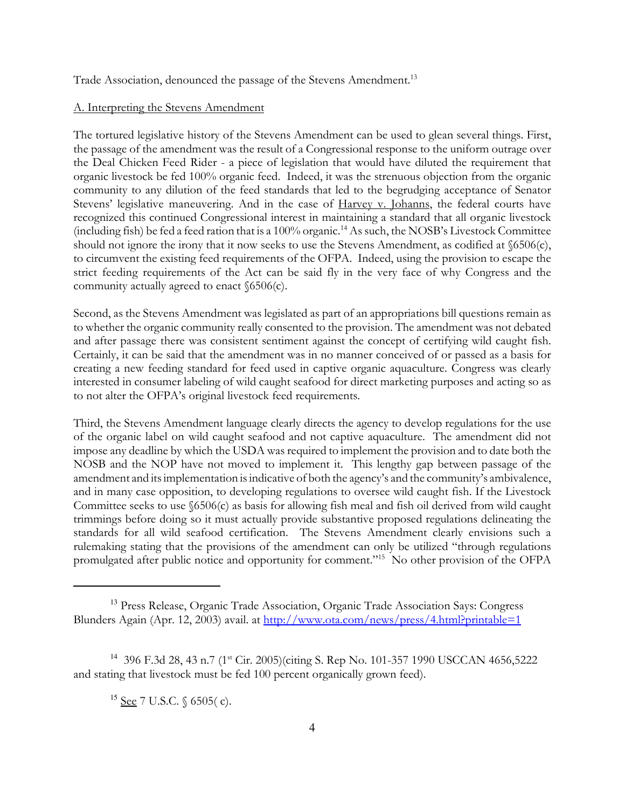Trade Association, denounced the passage of the Stevens Amendment.<sup>13</sup>

#### A. Interpreting the Stevens Amendment

The tortured legislative history of the Stevens Amendment can be used to glean several things. First, the passage of the amendment was the result of a Congressional response to the uniform outrage over the Deal Chicken Feed Rider - a piece of legislation that would have diluted the requirement that organic livestock be fed 100% organic feed. Indeed, it was the strenuous objection from the organic community to any dilution of the feed standards that led to the begrudging acceptance of Senator Stevens' legislative maneuvering. And in the case of Harvey v. Johanns, the federal courts have recognized this continued Congressional interest in maintaining a standard that all organic livestock (including fish) be fed a feed ration that is a 100% organic.<sup>14</sup> As such, the NOSB's Livestock Committee should not ignore the irony that it now seeks to use the Stevens Amendment, as codified at §6506(c), to circumvent the existing feed requirements of the OFPA. Indeed, using the provision to escape the strict feeding requirements of the Act can be said fly in the very face of why Congress and the community actually agreed to enact §6506(c).

Second, as the Stevens Amendment was legislated as part of an appropriations bill questions remain as to whether the organic community really consented to the provision. The amendment was not debated and after passage there was consistent sentiment against the concept of certifying wild caught fish. Certainly, it can be said that the amendment was in no manner conceived of or passed as a basis for creating a new feeding standard for feed used in captive organic aquaculture. Congress was clearly interested in consumer labeling of wild caught seafood for direct marketing purposes and acting so as to not alter the OFPA's original livestock feed requirements.

Third, the Stevens Amendment language clearly directs the agency to develop regulations for the use of the organic label on wild caught seafood and not captive aquaculture. The amendment did not impose any deadline by which the USDA was required to implement the provision and to date both the NOSB and the NOP have not moved to implement it. This lengthy gap between passage of the amendment and its implementation is indicative of both the agency's and the community's ambivalence, and in many case opposition, to developing regulations to oversee wild caught fish. If the Livestock Committee seeks to use §6506(c) as basis for allowing fish meal and fish oil derived from wild caught trimmings before doing so it must actually provide substantive proposed regulations delineating the standards for all wild seafood certification. The Stevens Amendment clearly envisions such a rulemaking stating that the provisions of the amendment can only be utilized "through regulations promulgated after public notice and opportunity for comment."15 No other provision of the OFPA

<sup>13</sup> Press Release, Organic Trade Association, Organic Trade Association Says: Congress Blunders Again (Apr. 12, 2003) avail. at http://www.ota.com/news/press/4.html?printable=1

<sup>&</sup>lt;sup>14</sup> 396 F.3d 28, 43 n.7 (1<sup>st</sup> Cir. 2005)(citing S. Rep No. 101-357 1990 USCCAN 4656,5222 and stating that livestock must be fed 100 percent organically grown feed).

<sup>&</sup>lt;sup>15</sup> <u>See</u> 7 U.S.C. § 6505(c).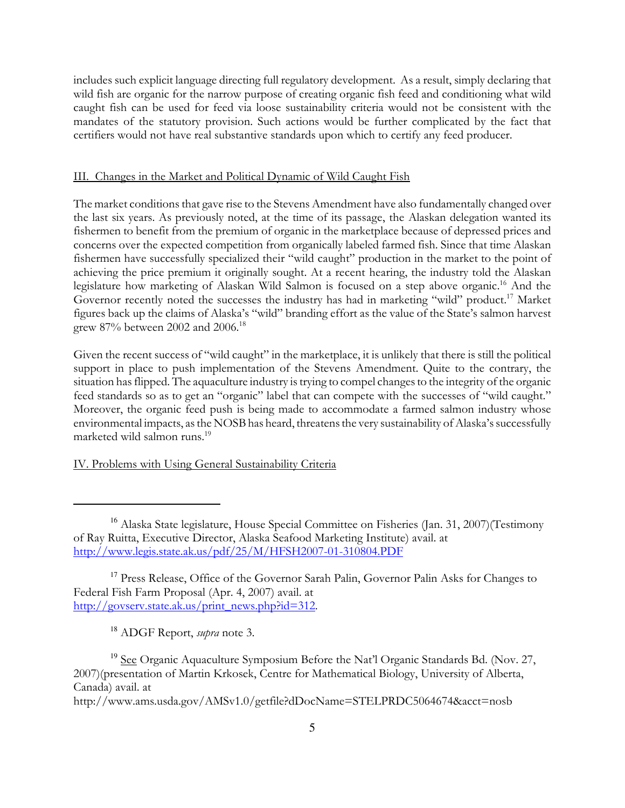includes such explicit language directing full regulatory development. As a result, simply declaring that wild fish are organic for the narrow purpose of creating organic fish feed and conditioning what wild caught fish can be used for feed via loose sustainability criteria would not be consistent with the mandates of the statutory provision. Such actions would be further complicated by the fact that certifiers would not have real substantive standards upon which to certify any feed producer.

## III. Changes in the Market and Political Dynamic of Wild Caught Fish

The market conditions that gave rise to the Stevens Amendment have also fundamentally changed over the last six years. As previously noted, at the time of its passage, the Alaskan delegation wanted its fishermen to benefit from the premium of organic in the marketplace because of depressed prices and concerns over the expected competition from organically labeled farmed fish. Since that time Alaskan fishermen have successfully specialized their "wild caught" production in the market to the point of achieving the price premium it originally sought. At a recent hearing, the industry told the Alaskan legislature how marketing of Alaskan Wild Salmon is focused on a step above organic.<sup>16</sup> And the Governor recently noted the successes the industry has had in marketing "wild" product.<sup>17</sup> Market figures back up the claims of Alaska's "wild" branding effort as the value of the State's salmon harvest grew 87% between 2002 and 2006.<sup>18</sup>

Given the recent success of "wild caught" in the marketplace, it is unlikely that there is still the political support in place to push implementation of the Stevens Amendment. Quite to the contrary, the situation has flipped. The aquaculture industry is trying to compel changes to the integrity of the organic feed standards so as to get an "organic" label that can compete with the successes of "wild caught." Moreover, the organic feed push is being made to accommodate a farmed salmon industry whose environmental impacts, as the NOSB has heard, threatens the very sustainability of Alaska's successfully marketed wild salmon runs.<sup>19</sup>

## IV. Problems with Using General Sustainability Criteria

 $18$  ADGF Report, *supra* note 3.

<sup>&</sup>lt;sup>16</sup> Alaska State legislature, House Special Committee on Fisheries (Jan. 31, 2007)(Testimony of Ray Ruitta, Executive Director, Alaska Seafood Marketing Institute) avail. at http://www.legis.state.ak.us/pdf/25/M/HFSH2007-01-310804.PDF

<sup>&</sup>lt;sup>17</sup> Press Release, Office of the Governor Sarah Palin, Governor Palin Asks for Changes to Federal Fish Farm Proposal (Apr. 4, 2007) avail. at http://govserv.state.ak.us/print\_news.php?id=312.

<sup>&</sup>lt;sup>19</sup> See Organic Aquaculture Symposium Before the Nat'l Organic Standards Bd. (Nov. 27, 2007)(presentation of Martin Krkosek, Centre for Mathematical Biology, University of Alberta, Canada) avail. at

http://www.ams.usda.gov/AMSv1.0/getfile?dDocName=STELPRDC5064674&acct=nosb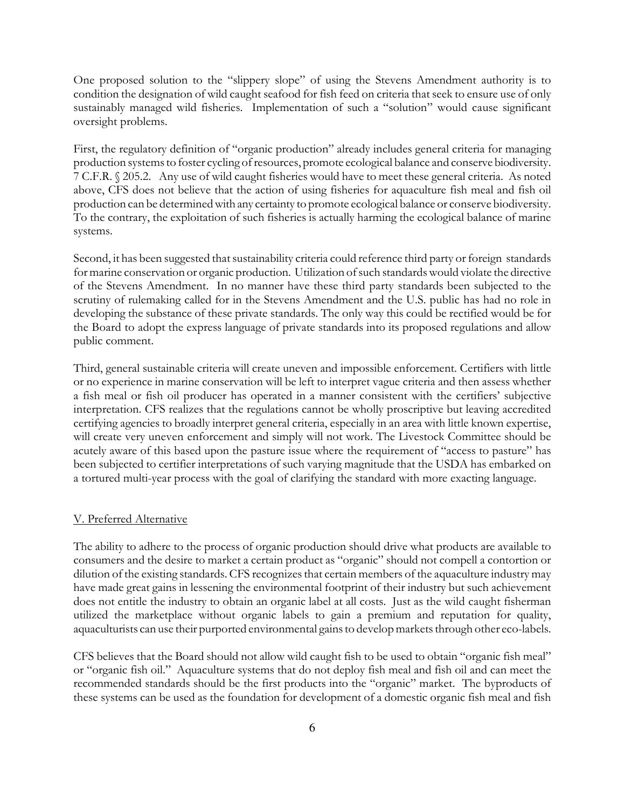One proposed solution to the "slippery slope" of using the Stevens Amendment authority is to condition the designation of wild caught seafood for fish feed on criteria that seek to ensure use of only sustainably managed wild fisheries. Implementation of such a "solution" would cause significant oversight problems.

First, the regulatory definition of "organic production" already includes general criteria for managing production systems to foster cycling of resources, promote ecological balance and conserve biodiversity. 7 C.F.R. § 205.2. Any use of wild caught fisheries would have to meet these general criteria. As noted above, CFS does not believe that the action of using fisheries for aquaculture fish meal and fish oil production can be determined with any certainty to promote ecological balance or conserve biodiversity. To the contrary, the exploitation of such fisheries is actually harming the ecological balance of marine systems.

Second, it has been suggested that sustainability criteria could reference third party or foreign standards for marine conservation or organic production. Utilization of such standards would violate the directive of the Stevens Amendment. In no manner have these third party standards been subjected to the scrutiny of rulemaking called for in the Stevens Amendment and the U.S. public has had no role in developing the substance of these private standards. The only way this could be rectified would be for the Board to adopt the express language of private standards into its proposed regulations and allow public comment.

Third, general sustainable criteria will create uneven and impossible enforcement. Certifiers with little or no experience in marine conservation will be left to interpret vague criteria and then assess whether a fish meal or fish oil producer has operated in a manner consistent with the certifiers' subjective interpretation. CFS realizes that the regulations cannot be wholly proscriptive but leaving accredited certifying agencies to broadly interpret general criteria, especially in an area with little known expertise, will create very uneven enforcement and simply will not work. The Livestock Committee should be acutely aware of this based upon the pasture issue where the requirement of "access to pasture" has been subjected to certifier interpretations of such varying magnitude that the USDA has embarked on a tortured multi-year process with the goal of clarifying the standard with more exacting language.

#### V. Preferred Alternative

The ability to adhere to the process of organic production should drive what products are available to consumers and the desire to market a certain product as "organic" should not compell a contortion or dilution of the existing standards. CFS recognizes that certain members of the aquaculture industry may have made great gains in lessening the environmental footprint of their industry but such achievement does not entitle the industry to obtain an organic label at all costs. Just as the wild caught fisherman utilized the marketplace without organic labels to gain a premium and reputation for quality, aquaculturists can use their purported environmental gains to develop markets through other eco-labels.

CFS believes that the Board should not allow wild caught fish to be used to obtain "organic fish meal" or "organic fish oil." Aquaculture systems that do not deploy fish meal and fish oil and can meet the recommended standards should be the first products into the "organic" market. The byproducts of these systems can be used as the foundation for development of a domestic organic fish meal and fish